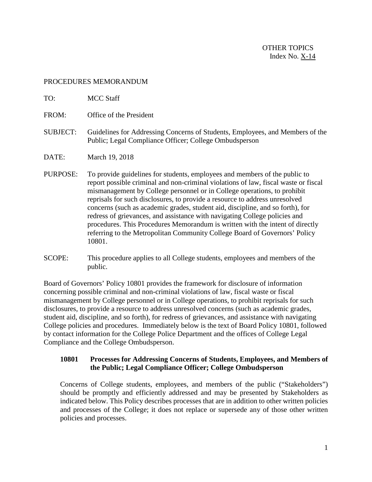## PROCEDURES MEMORANDUM

10801.

| TO:             | <b>MCC Staff</b>                                                                                                                                                                                                                                                                                                                                                                                                                                                                                                                                                                                                                                            |
|-----------------|-------------------------------------------------------------------------------------------------------------------------------------------------------------------------------------------------------------------------------------------------------------------------------------------------------------------------------------------------------------------------------------------------------------------------------------------------------------------------------------------------------------------------------------------------------------------------------------------------------------------------------------------------------------|
| FROM:           | Office of the President                                                                                                                                                                                                                                                                                                                                                                                                                                                                                                                                                                                                                                     |
| <b>SUBJECT:</b> | Guidelines for Addressing Concerns of Students, Employees, and Members of the<br>Public; Legal Compliance Officer; College Ombudsperson                                                                                                                                                                                                                                                                                                                                                                                                                                                                                                                     |
| DATE:           | March 19, 2018                                                                                                                                                                                                                                                                                                                                                                                                                                                                                                                                                                                                                                              |
| PURPOSE:        | To provide guidelines for students, employees and members of the public to<br>report possible criminal and non-criminal violations of law, fiscal waste or fiscal<br>mismanagement by College personnel or in College operations, to prohibit<br>reprisals for such disclosures, to provide a resource to address unresolved<br>concerns (such as academic grades, student aid, discipline, and so forth), for<br>redress of grievances, and assistance with navigating College policies and<br>procedures. This Procedures Memorandum is written with the intent of directly<br>referring to the Metropolitan Community College Board of Governors' Policy |

SCOPE: This procedure applies to all College students, employees and members of the public.

Board of Governors' Policy 10801 provides the framework for disclosure of information concerning possible criminal and non-criminal violations of law, fiscal waste or fiscal mismanagement by College personnel or in College operations, to prohibit reprisals for such disclosures, to provide a resource to address unresolved concerns (such as academic grades, student aid, discipline, and so forth), for redress of grievances, and assistance with navigating College policies and procedures. Immediately below is the text of Board Policy 10801, followed by contact information for the College Police Department and the offices of College Legal Compliance and the College Ombudsperson.

## **10801 Processes for Addressing Concerns of Students, Employees, and Members of the Public; Legal Compliance Officer; College Ombudsperson**

Concerns of College students, employees, and members of the public ("Stakeholders") should be promptly and efficiently addressed and may be presented by Stakeholders as indicated below. This Policy describes processes that are in addition to other written policies and processes of the College; it does not replace or supersede any of those other written policies and processes.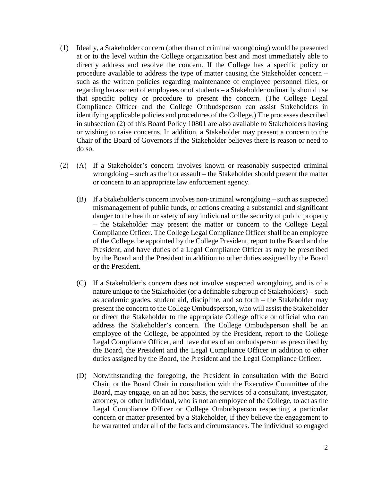- (1) Ideally, a Stakeholder concern (other than of criminal wrongdoing) would be presented at or to the level within the College organization best and most immediately able to directly address and resolve the concern. If the College has a specific policy or procedure available to address the type of matter causing the Stakeholder concern – such as the written policies regarding maintenance of employee personnel files, or regarding harassment of employees or of students – a Stakeholder ordinarily should use that specific policy or procedure to present the concern. (The College Legal Compliance Officer and the College Ombudsperson can assist Stakeholders in identifying applicable policies and procedures of the College.) The processes described in subsection (2) of this Board Policy 10801 are also available to Stakeholders having or wishing to raise concerns. In addition, a Stakeholder may present a concern to the Chair of the Board of Governors if the Stakeholder believes there is reason or need to do so.
- (2) (A) If a Stakeholder's concern involves known or reasonably suspected criminal wrongdoing – such as theft or assault – the Stakeholder should present the matter or concern to an appropriate law enforcement agency.
	- (B) If a Stakeholder's concern involves non-criminal wrongdoing such as suspected mismanagement of public funds, or actions creating a substantial and significant danger to the health or safety of any individual or the security of public property – the Stakeholder may present the matter or concern to the College Legal Compliance Officer. The College Legal Compliance Officer shall be an employee of the College, be appointed by the College President, report to the Board and the President, and have duties of a Legal Compliance Officer as may be prescribed by the Board and the President in addition to other duties assigned by the Board or the President.
	- (C) If a Stakeholder's concern does not involve suspected wrongdoing, and is of a nature unique to the Stakeholder (or a definable subgroup of Stakeholders) – such as academic grades, student aid, discipline, and so forth – the Stakeholder may present the concern to the College Ombudsperson, who will assist the Stakeholder or direct the Stakeholder to the appropriate College office or official who can address the Stakeholder's concern. The College Ombudsperson shall be an employee of the College, be appointed by the President, report to the College Legal Compliance Officer, and have duties of an ombudsperson as prescribed by the Board, the President and the Legal Compliance Officer in addition to other duties assigned by the Board, the President and the Legal Compliance Officer.
	- (D) Notwithstanding the foregoing, the President in consultation with the Board Chair, or the Board Chair in consultation with the Executive Committee of the Board, may engage, on an ad hoc basis, the services of a consultant, investigator, attorney, or other individual, who is not an employee of the College, to act as the Legal Compliance Officer or College Ombudsperson respecting a particular concern or matter presented by a Stakeholder, if they believe the engagement to be warranted under all of the facts and circumstances. The individual so engaged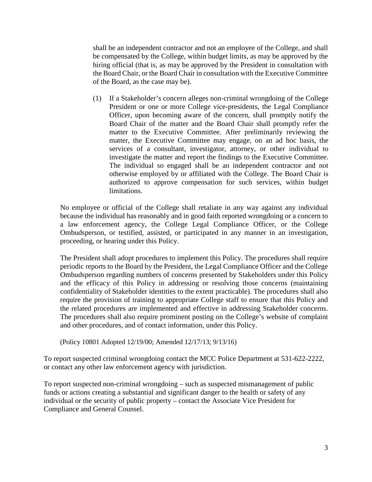shall be an independent contractor and not an employee of the College, and shall be compensated by the College, within budget limits, as may be approved by the hiring official (that is, as may be approved by the President in consultation with the Board Chair, or the Board Chair in consultation with the Executive Committee of the Board, as the case may be).

(1) If a Stakeholder's concern alleges non-criminal wrongdoing of the College President or one or more College vice-presidents, the Legal Compliance Officer, upon becoming aware of the concern, shall promptly notify the Board Chair of the matter and the Board Chair shall promptly refer the matter to the Executive Committee. After preliminarily reviewing the matter, the Executive Committee may engage, on an ad hoc basis, the services of a consultant, investigator, attorney, or other individual to investigate the matter and report the findings to the Executive Committee. The individual so engaged shall be an independent contractor and not otherwise employed by or affiliated with the College. The Board Chair is authorized to approve compensation for such services, within budget limitations.

No employee or official of the College shall retaliate in any way against any individual because the individual has reasonably and in good faith reported wrongdoing or a concern to a law enforcement agency, the College Legal Compliance Officer, or the College Ombudsperson, or testified, assisted, or participated in any manner in an investigation, proceeding, or hearing under this Policy.

The President shall adopt procedures to implement this Policy. The procedures shall require periodic reports to the Board by the President, the Legal Compliance Officer and the College Ombudsperson regarding numbers of concerns presented by Stakeholders under this Policy and the efficacy of this Policy in addressing or resolving those concerns (maintaining confidentiality of Stakeholder identities to the extent practicable). The procedures shall also require the provision of training to appropriate College staff to ensure that this Policy and the related procedures are implemented and effective in addressing Stakeholder concerns. The procedures shall also require prominent posting on the College's website of complaint and other procedures, and of contact information, under this Policy.

(Policy 10801 Adopted 12/19/00; Amended 12/17/13; 9/13/16)

To report suspected criminal wrongdoing contact the MCC Police Department at 531-622-2222, or contact any other law enforcement agency with jurisdiction.

To report suspected non-criminal wrongdoing – such as suspected mismanagement of public funds or actions creating a substantial and significant danger to the health or safety of any individual or the security of public property – contact the Associate Vice President for Compliance and General Counsel.